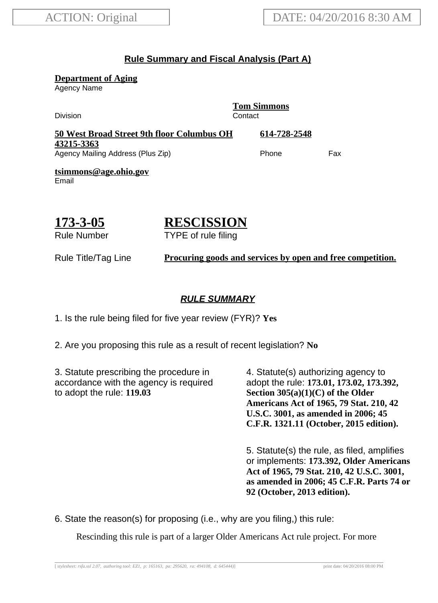# **Rule Summary and Fiscal Analysis (Part A)**

**Department of Aging**

Agency Name

**Tom Simmons** Division **Contact 50 West Broad Street 9th floor Columbus OH 43215-3363 614-728-2548** Agency Mailing Address (Plus Zip) example and the Phone Fax **tsimmons@age.ohio.gov** Email

# **173-3-05** Rule Number

# **RESCISSION**

TYPE of rule filing

Rule Title/Tag Line **Procuring goods and services by open and free competition.**

## **RULE SUMMARY**

1. Is the rule being filed for five year review (FYR)? **Yes**

2. Are you proposing this rule as a result of recent legislation? **No**

3. Statute prescribing the procedure in accordance with the agency is required to adopt the rule: **119.03**

4. Statute(s) authorizing agency to adopt the rule: **173.01, 173.02, 173.392, Section 305(a)(1)(C) of the Older Americans Act of 1965, 79 Stat. 210, 42 U.S.C. 3001, as amended in 2006; 45 C.F.R. 1321.11 (October, 2015 edition).**

5. Statute(s) the rule, as filed, amplifies or implements: **173.392, Older Americans Act of 1965, 79 Stat. 210, 42 U.S.C. 3001, as amended in 2006; 45 C.F.R. Parts 74 or 92 (October, 2013 edition).**

6. State the reason(s) for proposing (i.e., why are you filing,) this rule:

Rescinding this rule is part of a larger Older Americans Act rule project. For more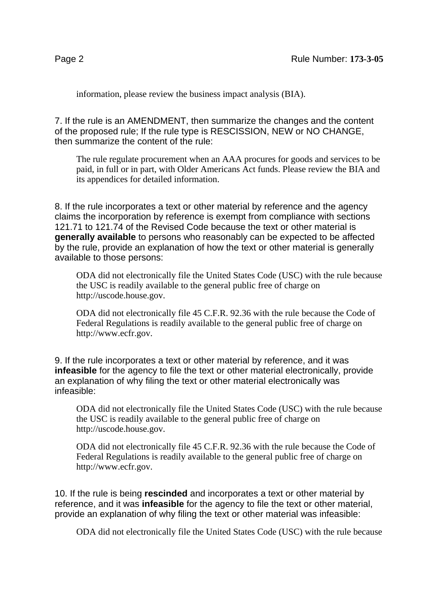information, please review the business impact analysis (BIA).

7. If the rule is an AMENDMENT, then summarize the changes and the content of the proposed rule; If the rule type is RESCISSION, NEW or NO CHANGE, then summarize the content of the rule:

The rule regulate procurement when an AAA procures for goods and services to be paid, in full or in part, with Older Americans Act funds. Please review the BIA and its appendices for detailed information.

8. If the rule incorporates a text or other material by reference and the agency claims the incorporation by reference is exempt from compliance with sections 121.71 to 121.74 of the Revised Code because the text or other material is **generally available** to persons who reasonably can be expected to be affected by the rule, provide an explanation of how the text or other material is generally available to those persons:

ODA did not electronically file the United States Code (USC) with the rule because the USC is readily available to the general public free of charge on http://uscode.house.gov.

ODA did not electronically file 45 C.F.R. 92.36 with the rule because the Code of Federal Regulations is readily available to the general public free of charge on http://www.ecfr.gov.

9. If the rule incorporates a text or other material by reference, and it was **infeasible** for the agency to file the text or other material electronically, provide an explanation of why filing the text or other material electronically was infeasible:

ODA did not electronically file the United States Code (USC) with the rule because the USC is readily available to the general public free of charge on http://uscode.house.gov.

ODA did not electronically file 45 C.F.R. 92.36 with the rule because the Code of Federal Regulations is readily available to the general public free of charge on http://www.ecfr.gov.

10. If the rule is being **rescinded** and incorporates a text or other material by reference, and it was **infeasible** for the agency to file the text or other material, provide an explanation of why filing the text or other material was infeasible:

ODA did not electronically file the United States Code (USC) with the rule because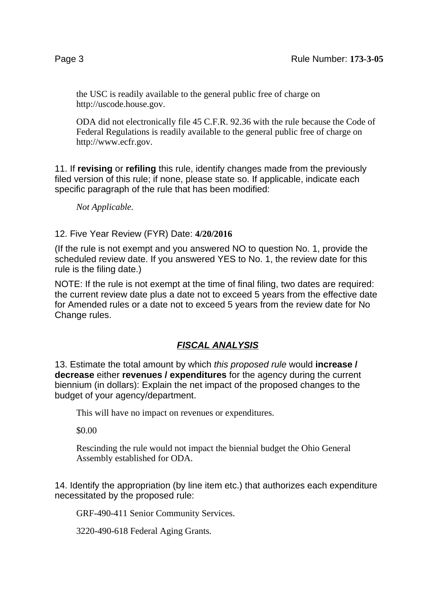the USC is readily available to the general public free of charge on http://uscode.house.gov.

ODA did not electronically file 45 C.F.R. 92.36 with the rule because the Code of Federal Regulations is readily available to the general public free of charge on http://www.ecfr.gov.

11. If **revising** or **refiling** this rule, identify changes made from the previously filed version of this rule; if none, please state so. If applicable, indicate each specific paragraph of the rule that has been modified:

*Not Applicable.*

#### 12. Five Year Review (FYR) Date: **4/20/2016**

(If the rule is not exempt and you answered NO to question No. 1, provide the scheduled review date. If you answered YES to No. 1, the review date for this rule is the filing date.)

NOTE: If the rule is not exempt at the time of final filing, two dates are required: the current review date plus a date not to exceed 5 years from the effective date for Amended rules or a date not to exceed 5 years from the review date for No Change rules.

# **FISCAL ANALYSIS**

13. Estimate the total amount by which this proposed rule would **increase / decrease** either **revenues / expenditures** for the agency during the current biennium (in dollars): Explain the net impact of the proposed changes to the budget of your agency/department.

This will have no impact on revenues or expenditures.

\$0.00

Rescinding the rule would not impact the biennial budget the Ohio General Assembly established for ODA.

14. Identify the appropriation (by line item etc.) that authorizes each expenditure necessitated by the proposed rule:

GRF-490-411 Senior Community Services.

3220-490-618 Federal Aging Grants.